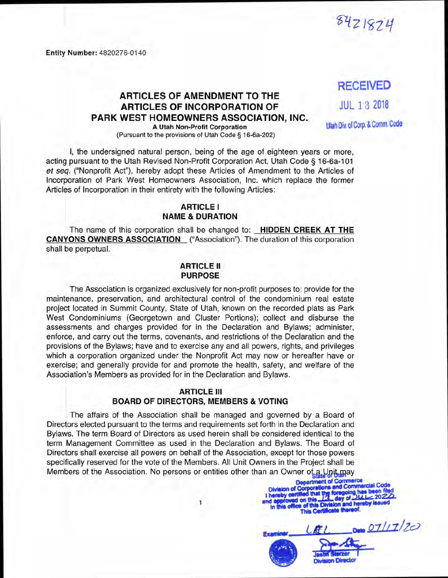**Entity Number:** 4820276-0140

# **RECEIVED**

8421824

## **ARTICLES OF AMENDMENT TO THE ARTICLES OF INCORPORATION OF PARK WEST HOMEOWNERS ASSOCIATION, INC.**

**JUL 13 <sup>2018</sup>**

**Utah Div.olCorp.& Comm. Code**

**A Utah Non-Profit Corporation** (Pursuant to the provisions of Utah Code § 16-6a-202)

I, the undersigned natural person, being of the age of eighteen years or more, acting pursuant to the Utah Revised Non-Profit Corporation Act, Utah Code § 16-6a-101 *et seq.* ("Nonprofit Act"), hereby adopt these Articles of Amendment to the Articles of Incorporation of Park West Homeowners Association, Inc. which replace the former Articles of Incorporation in their entirety with the following Articles:

#### **ARTICLE <sup>I</sup> NAME & DURATION**

The name of this corporation shall be changed to: **HIDDEN CREEK AT THE CANYONS OWNERS ASSOCIATION** ("Association"). The duration of this corporation shall be perpetual.

#### **ARTICLE II PURPOSE**

The Association is organized exclusively for non-profit purposes to: provide for the maintenance, preservation, and architectural control of the condominium real estate project located in Summit County, State of Utah, known on the recorded plats as Park West Condominiums (Georgetown and Cluster Portions); collect and disburse the assessments and charges provided for in the Declaration and Bylaws; administer, enforce, and carry out the terms, covenants, and restrictions of the Declaration and the provisions of the Bylaws; have and to exercise any and all powers, rights, and privileges which a corporation organized under the Nonprofit Act may now or hereafter have or exercise; and generally provide for and promote the health, safety, and welfare of the Association's Members as provided for in the Declaration and Bylaws.

#### **ARTICLE III BOARD OF DIRECTORS, MEMBERS & VOTING**

The affairs of the Association shall be managed and governed by a Board of Directors elected pursuant to the terms and requirements set forth in the Declaration and Bylaws. The term Board of Directors as used herein shall be considered identical to the term Management Committee as used in the Declaration and Bylaws. The Board of Directors shall exercise all powers on behalf of the Association, except for those powers specifically reserved for the vote of the Members. All Unit Owners in the Project shall be Members of the Association. No persons or entities other than an Owner of a Unit may

> **<sup>1</sup> ■nd** m



*n-il/Thc^* **Division Director**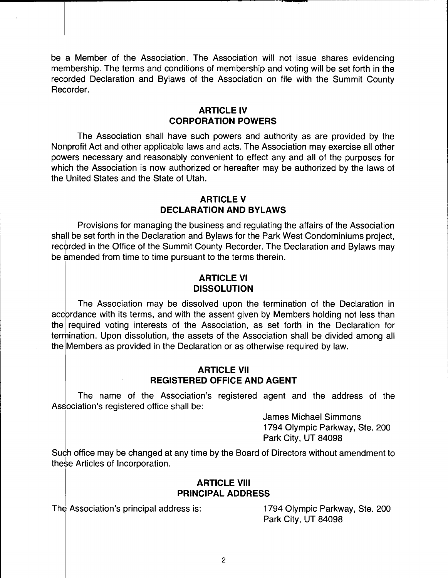be a Member of the Association. The Association will not issue shares evidencing membership. The terms and conditions of membership and voting will be set forth in the recorded Declaration and Bylaws of the Association on file with the Summit County Recorder.

#### **ARTICLE IV CORPORATION POWERS**

The Association shall have such powers and authority as are provided by the Nonprofit Act and other applicable laws and acts. The Association may exercise all other powers necessary and reasonably convenient to effect any and all of the purposes for which the Association is now authorized or hereafter may be authorized by the laws of the United States and the State of Utah.

### **ARTICLE V DECLARATION AND BYLAWS**

Provisions for managing the business and regulating the affairs of the Association shall be set forth in the Declaration and Bylaws for the Park West Condominiums project, recorded in the Office of the Summit County Recorder. The Declaration and Bylaws may be amended from time to time pursuant to the terms therein.

### **ARTICLE VI DISSOLUTION**

The Association may be dissolved upon the termination of the Declaration in accordance with its terms, and with the assent given by Members holding not less than the required voting interests of the Association, as set forth in the Declaration for termination. Upon dissolution, the assets of the Association shall be divided among all the Members as provided in the Declaration or as otherwise required by law.

#### **ARTICLE VII REGISTERED OFFICE AND AGENT**

The name of the Association's registered agent and the address of the Association's registered office shall be:

> James Michael Simmons 1794 Olympic Parkway, Ste. 200 Park City, UT 84098

Such office may be changed at any time by the Board of Directors without amendment to these Articles of Incorporation.

#### **ARTICLE VIII PRINCIPAL ADDRESS**

The Association's principal address is: 1794 Olympic Parkway, Ste. 200

Park City, UT 84098